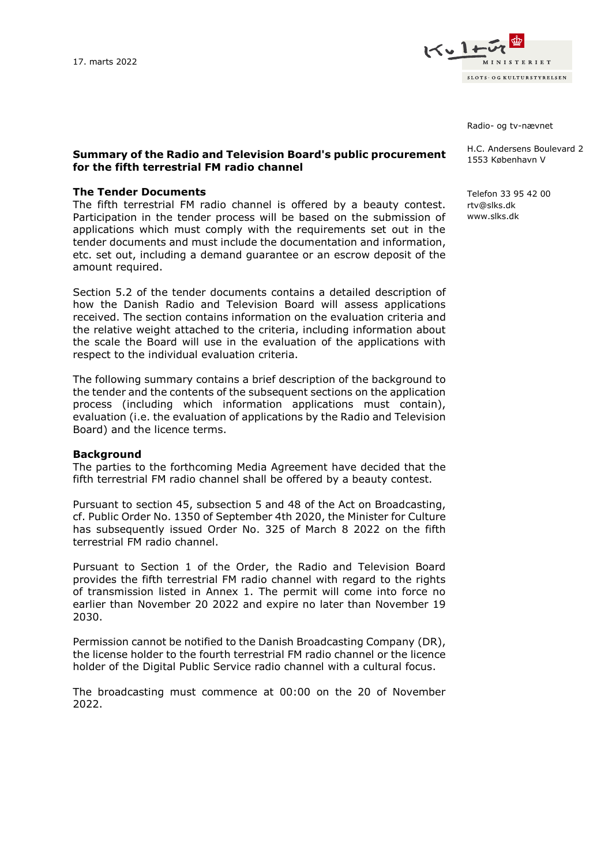

Radio- og tv-nævnet

## **Summary of the Radio and Television Board's public procurement for the fifth terrestrial FM radio channel**

### **The Tender Documents**

The fifth terrestrial FM radio channel is offered by a beauty contest. Participation in the tender process will be based on the submission of applications which must comply with the requirements set out in the tender documents and must include the documentation and information, etc. set out, including a demand guarantee or an escrow deposit of the amount required.

Section 5.2 of the tender documents contains a detailed description of how the Danish Radio and Television Board will assess applications received. The section contains information on the evaluation criteria and the relative weight attached to the criteria, including information about the scale the Board will use in the evaluation of the applications with respect to the individual evaluation criteria.

The following summary contains a brief description of the background to the tender and the contents of the subsequent sections on the application process (including which information applications must contain), evaluation (i.e. the evaluation of applications by the Radio and Television Board) and the licence terms.

### **Background**

The parties to the forthcoming Media Agreement have decided that the fifth terrestrial FM radio channel shall be offered by a beauty contest.

Pursuant to section 45, subsection 5 and 48 of the Act on Broadcasting, cf. Public Order No. 1350 of September 4th 2020, the Minister for Culture has subsequently issued Order No. 325 of March 8 2022 on the fifth terrestrial FM radio channel.

Pursuant to Section 1 of the Order, the Radio and Television Board provides the fifth terrestrial FM radio channel with regard to the rights of transmission listed in Annex 1. The permit will come into force no earlier than November 20 2022 and expire no later than November 19 2030.

Permission cannot be notified to the Danish Broadcasting Company (DR), the license holder to the fourth terrestrial FM radio channel or the licence holder of the Digital Public Service radio channel with a cultural focus.

The broadcasting must commence at 00:00 on the 20 of November 2022.

H.C. Andersens Boulevard 2

1553 København V

Telefon 33 95 42 00 rtv@slks.dk www.slks.dk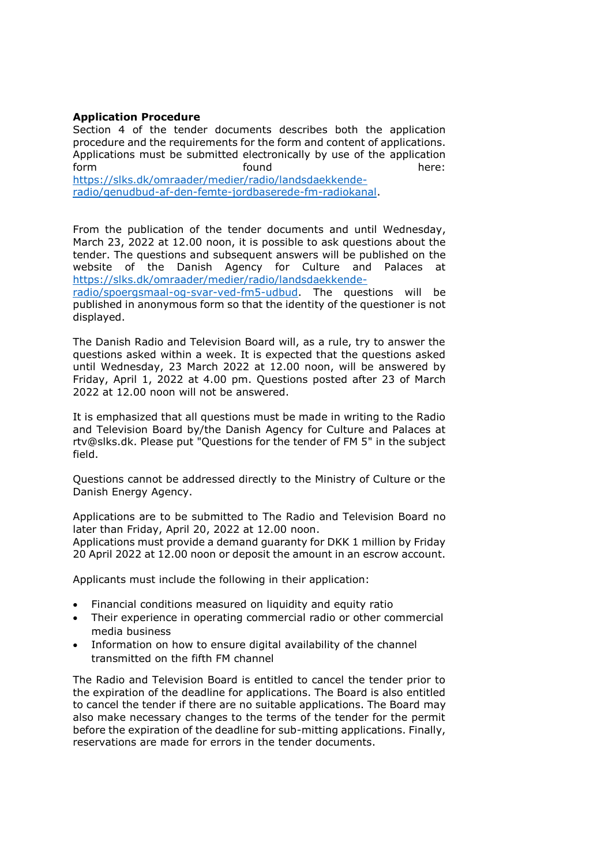# **Application Procedure**

Section 4 of the tender documents describes both the application procedure and the requirements for the form and content of applications. Applications must be submitted electronically by use of the application form found here: [https://slks.dk/omraader/medier/radio/landsdaekkende](https://slks.dk/omraader/medier/radio/landsdaekkende-radio/genudbud-af-den-femte-jordbaserede-fm-radiokanal)[radio/genudbud-af-den-femte-jordbaserede-fm-radiokanal.](https://slks.dk/omraader/medier/radio/landsdaekkende-radio/genudbud-af-den-femte-jordbaserede-fm-radiokanal)

From the publication of the tender documents and until Wednesday, March 23, 2022 at 12.00 noon, it is possible to ask questions about the tender. The questions and subsequent answers will be published on the website of the Danish Agency for Culture and Palaces at [https://slks.dk/omraader/medier/radio/landsdaekkende-](https://slks.dk/omraader/medier/radio/landsdaekkende-radio/spoergsmaal-og-svar-ved-fm5-udbud)

[radio/spoergsmaal-og-svar-ved-fm5-udbud.](https://slks.dk/omraader/medier/radio/landsdaekkende-radio/spoergsmaal-og-svar-ved-fm5-udbud) The questions will be published in anonymous form so that the identity of the questioner is not displayed.

The Danish Radio and Television Board will, as a rule, try to answer the questions asked within a week. It is expected that the questions asked until Wednesday, 23 March 2022 at 12.00 noon, will be answered by Friday, April 1, 2022 at 4.00 pm. Questions posted after 23 of March 2022 at 12.00 noon will not be answered.

It is emphasized that all questions must be made in writing to the Radio and Television Board by/the Danish Agency for Culture and Palaces at rtv@slks.dk. Please put "Questions for the tender of FM 5" in the subject field.

Questions cannot be addressed directly to the Ministry of Culture or the Danish Energy Agency.

Applications are to be submitted to The Radio and Television Board no later than Friday, April 20, 2022 at 12.00 noon.

Applications must provide a demand guaranty for DKK 1 million by Friday 20 April 2022 at 12.00 noon or deposit the amount in an escrow account.

Applicants must include the following in their application:

- Financial conditions measured on liquidity and equity ratio
- Their experience in operating commercial radio or other commercial media business
- Information on how to ensure digital availability of the channel transmitted on the fifth FM channel

The Radio and Television Board is entitled to cancel the tender prior to the expiration of the deadline for applications. The Board is also entitled to cancel the tender if there are no suitable applications. The Board may also make necessary changes to the terms of the tender for the permit before the expiration of the deadline for sub-mitting applications. Finally, reservations are made for errors in the tender documents.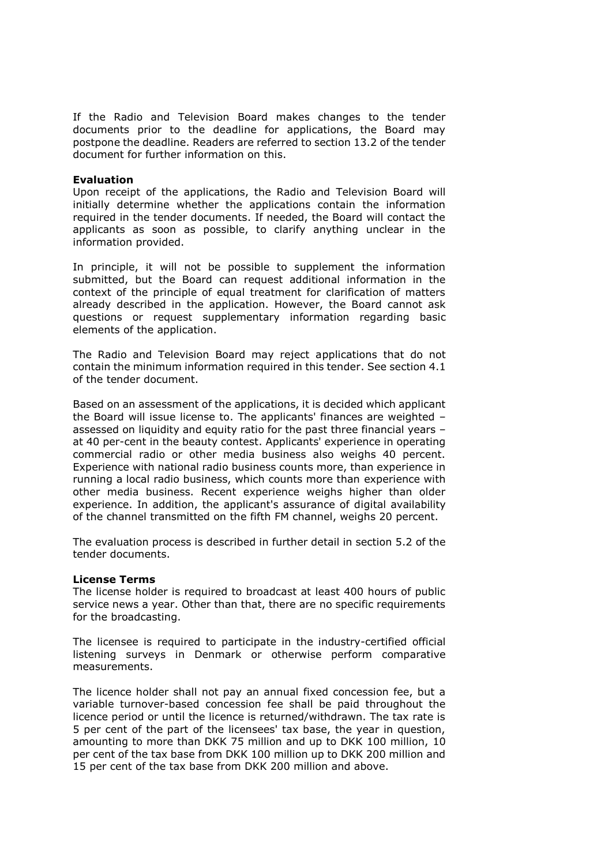If the Radio and Television Board makes changes to the tender documents prior to the deadline for applications, the Board may postpone the deadline. Readers are referred to section 13.2 of the tender document for further information on this.

## **Evaluation**

Upon receipt of the applications, the Radio and Television Board will initially determine whether the applications contain the information required in the tender documents. If needed, the Board will contact the applicants as soon as possible, to clarify anything unclear in the information provided.

In principle, it will not be possible to supplement the information submitted, but the Board can request additional information in the context of the principle of equal treatment for clarification of matters already described in the application. However, the Board cannot ask questions or request supplementary information regarding basic elements of the application.

The Radio and Television Board may reject applications that do not contain the minimum information required in this tender. See section 4.1 of the tender document.

Based on an assessment of the applications, it is decided which applicant the Board will issue license to. The applicants' finances are weighted – assessed on liquidity and equity ratio for the past three financial years – at 40 per-cent in the beauty contest. Applicants' experience in operating commercial radio or other media business also weighs 40 percent. Experience with national radio business counts more, than experience in running a local radio business, which counts more than experience with other media business. Recent experience weighs higher than older experience. In addition, the applicant's assurance of digital availability of the channel transmitted on the fifth FM channel, weighs 20 percent.

The evaluation process is described in further detail in section 5.2 of the tender documents.

### **License Terms**

The license holder is required to broadcast at least 400 hours of public service news a year. Other than that, there are no specific requirements for the broadcasting.

The licensee is required to participate in the industry-certified official listening surveys in Denmark or otherwise perform comparative measurements.

The licence holder shall not pay an annual fixed concession fee, but a variable turnover-based concession fee shall be paid throughout the licence period or until the licence is returned/withdrawn. The tax rate is 5 per cent of the part of the licensees' tax base, the year in question, amounting to more than DKK 75 million and up to DKK 100 million, 10 per cent of the tax base from DKK 100 million up to DKK 200 million and 15 per cent of the tax base from DKK 200 million and above.